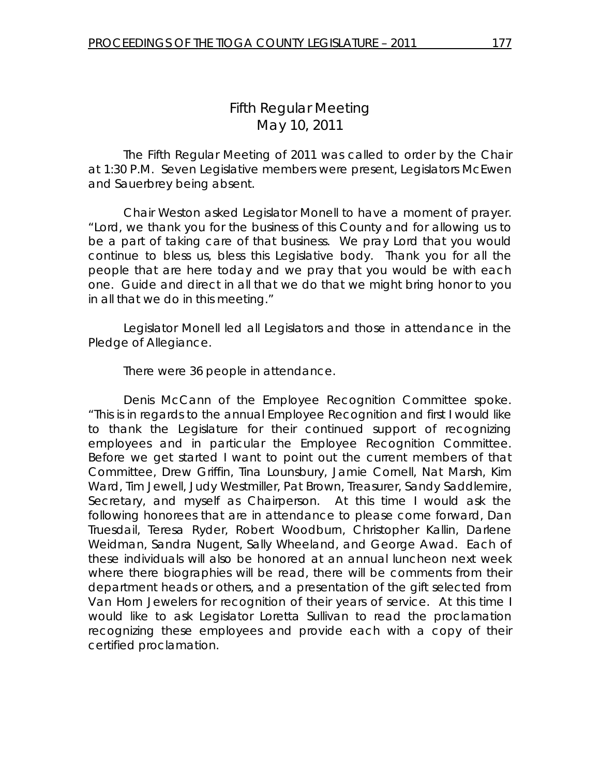# *Fifth Regular Meeting*  May 10, 2011

 The Fifth Regular Meeting of 2011 was called to order by the Chair at 1:30 P.M. Seven Legislative members were present, Legislators McEwen and Sauerbrey being absent.

Chair Weston asked Legislator Monell to have a moment of prayer. "Lord, we thank you for the business of this County and for allowing us to be a part of taking care of that business. We pray Lord that you would continue to bless us, bless this Legislative body. Thank you for all the people that are here today and we pray that you would be with each one. Guide and direct in all that we do that we might bring honor to you in all that we do in this meeting."

 Legislator Monell led all Legislators and those in attendance in the Pledge of Allegiance.

There were 36 people in attendance.

 Denis McCann of the Employee Recognition Committee spoke. "This is in regards to the annual Employee Recognition and first I would like to thank the Legislature for their continued support of recognizing employees and in particular the Employee Recognition Committee. Before we get started I want to point out the current members of that Committee, Drew Griffin, Tina Lounsbury, Jamie Cornell, Nat Marsh, Kim Ward, Tim Jewell, Judy Westmiller, Pat Brown, Treasurer, Sandy Saddlemire, Secretary, and myself as Chairperson. At this time I would ask the following honorees that are in attendance to please come forward, Dan Truesdail, Teresa Ryder, Robert Woodburn, Christopher Kallin, Darlene Weidman, Sandra Nugent, Sally Wheeland, and George Awad. Each of these individuals will also be honored at an annual luncheon next week where there biographies will be read, there will be comments from their department heads or others, and a presentation of the gift selected from Van Horn Jewelers for recognition of their years of service. At this time I would like to ask Legislator Loretta Sullivan to read the proclamation recognizing these employees and provide each with a copy of their certified proclamation.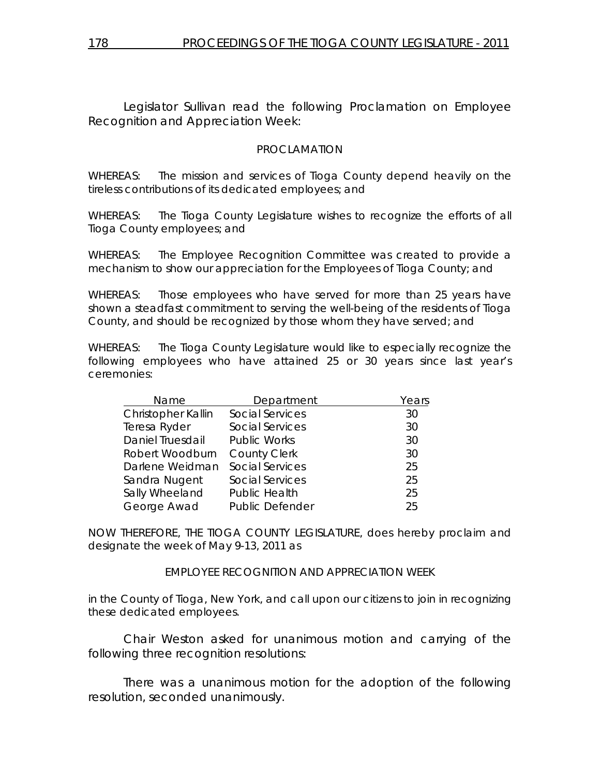Legislator Sullivan read the following Proclamation on Employee Recognition and Appreciation Week:

#### PROCLAMATION

WHEREAS: The mission and services of Tioga County depend heavily on the tireless contributions of its dedicated employees; and

WHEREAS: The Tioga County Legislature wishes to recognize the efforts of all Tioga County employees; and

WHEREAS: The Employee Recognition Committee was created to provide a mechanism to show our appreciation for the Employees of Tioga County; and

WHEREAS: Those employees who have served for more than 25 years have shown a steadfast commitment to serving the well-being of the residents of Tioga County, and should be recognized by those whom they have served; and

WHEREAS: The Tioga County Legislature would like to especially recognize the following employees who have attained 25 or 30 years since last year's ceremonies:

| Name               | Department             | Years |
|--------------------|------------------------|-------|
| Christopher Kallin | <b>Social Services</b> | 30    |
| Teresa Ryder       | <b>Social Services</b> | 30    |
| Daniel Truesdail   | <b>Public Works</b>    | 30    |
| Robert Woodburn    | <b>County Clerk</b>    | 30    |
| Darlene Weidman    | <b>Social Services</b> | 25    |
| Sandra Nugent      | <b>Social Services</b> | 25    |
| Sally Wheeland     | <b>Public Health</b>   | 25    |
| George Awad        | <b>Public Defender</b> | 25    |

NOW THEREFORE, THE TIOGA COUNTY LEGISLATURE, does hereby proclaim and designate the week of May 9-13, 2011 as

#### EMPLOYEE RECOGNITION AND APPRECIATION WEEK

in the County of Tioga, New York, and call upon our citizens to join in recognizing these dedicated employees.

 Chair Weston asked for unanimous motion and carrying of the following three recognition resolutions:

 There was a unanimous motion for the adoption of the following resolution, seconded unanimously.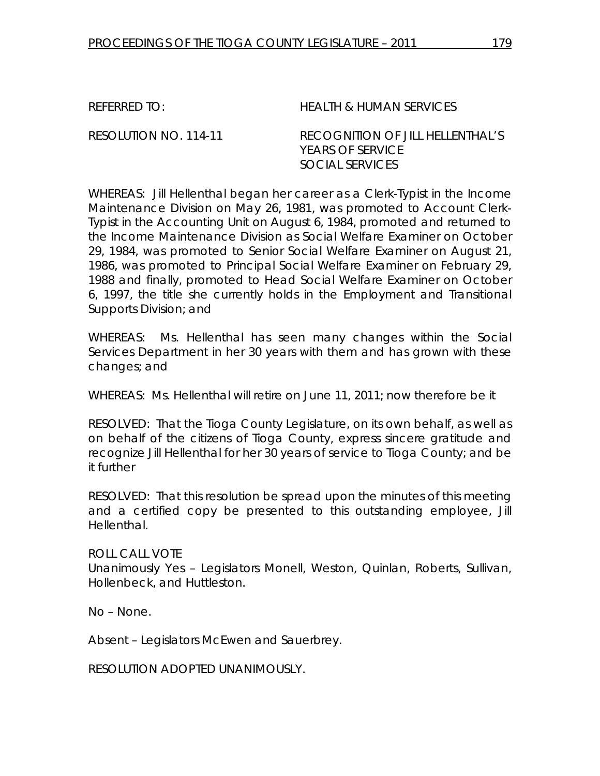REFERRED TO: HEALTH & HUMAN SERVICES

RESOLUTION NO. 114-11 *RECOGNITION OF JILL HELLENTHAL'S YEARS OF SERVICE SOCIAL SERVICES* 

WHEREAS: Jill Hellenthal began her career as a Clerk-Typist in the Income Maintenance Division on May 26, 1981, was promoted to Account Clerk-Typist in the Accounting Unit on August 6, 1984, promoted and returned to the Income Maintenance Division as Social Welfare Examiner on October 29, 1984, was promoted to Senior Social Welfare Examiner on August 21, 1986, was promoted to Principal Social Welfare Examiner on February 29, 1988 and finally, promoted to Head Social Welfare Examiner on October 6, 1997, the title she currently holds in the Employment and Transitional Supports Division; and

WHEREAS: Ms. Hellenthal has seen many changes within the Social Services Department in her 30 years with them and has grown with these changes; and

WHEREAS: Ms. Hellenthal will retire on June 11, 2011; now therefore be it

RESOLVED: That the Tioga County Legislature, on its own behalf, as well as on behalf of the citizens of Tioga County, express sincere gratitude and recognize Jill Hellenthal for her 30 years of service to Tioga County; and be it further

RESOLVED: That this resolution be spread upon the minutes of this meeting and a certified copy be presented to this outstanding employee, Jill Hellenthal.

ROLL CALL VOTE Unanimously Yes – Legislators Monell, Weston, Quinlan, Roberts, Sullivan, Hollenbeck, and Huttleston.

No – None.

Absent – Legislators McEwen and Sauerbrey.

RESOLUTION ADOPTED UNANIMOUSLY.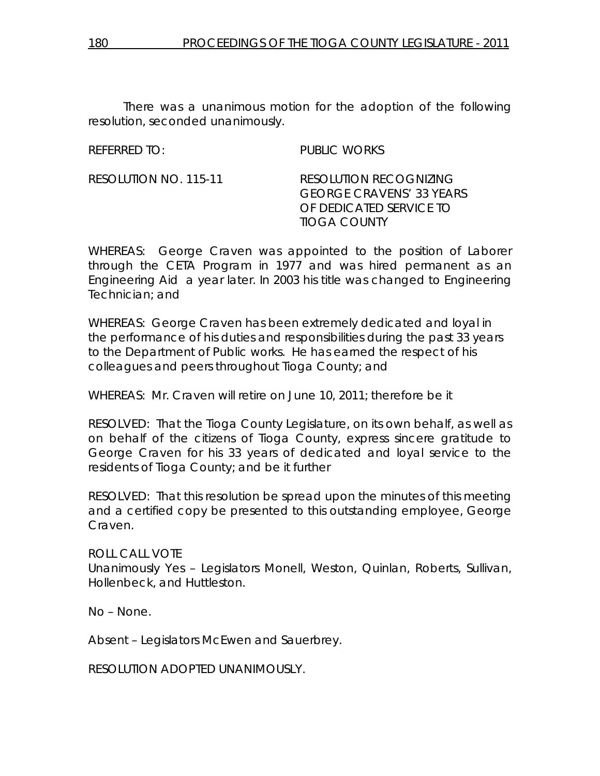There was a unanimous motion for the adoption of the following resolution, seconded unanimously.

REFERRED TO: PUBLIC WORKS

RESOLUTION NO. 115-11 *RESOLUTION RECOGNIZING GEORGE CRAVENS' 33 YEARS OF DEDICATED SERVICE TO TIOGA COUNTY* 

WHEREAS: George Craven was appointed to the position of Laborer through the CETA Program in 1977 and was hired permanent as an Engineering Aid a year later. In 2003 his title was changed to Engineering Technician; and

WHEREAS: George Craven has been extremely dedicated and loyal in the performance of his duties and responsibilities during the past 33 years to the Department of Public works. He has earned the respect of his colleagues and peers throughout Tioga County; and

WHEREAS: Mr. Craven will retire on June 10, 2011; therefore be it

RESOLVED: That the Tioga County Legislature, on its own behalf, as well as on behalf of the citizens of Tioga County, express sincere gratitude to George Craven for his 33 years of dedicated and loyal service to the residents of Tioga County; and be it further

RESOLVED: That this resolution be spread upon the minutes of this meeting and a certified copy be presented to this outstanding employee, George Craven.

ROLL CALL VOTE Unanimously Yes – Legislators Monell, Weston, Quinlan, Roberts, Sullivan, Hollenbeck, and Huttleston.

No – None.

Absent – Legislators McEwen and Sauerbrey.

RESOLUTION ADOPTED UNANIMOUSLY.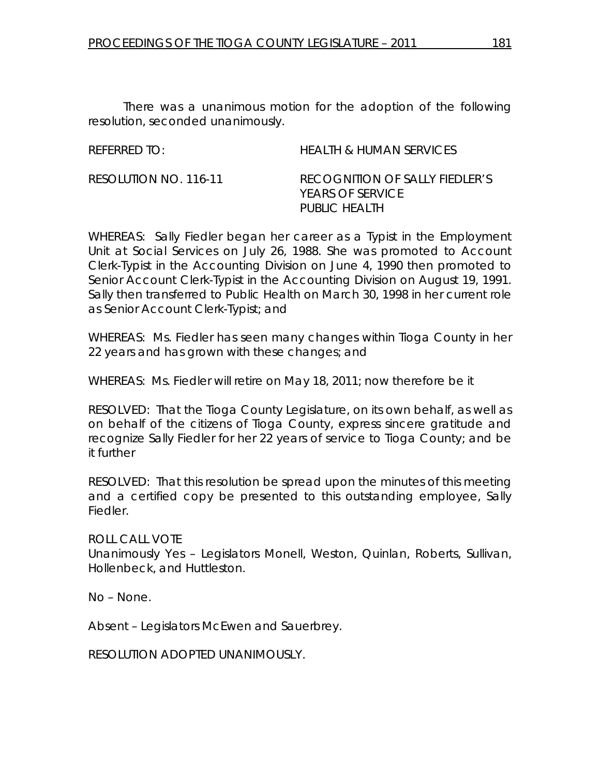There was a unanimous motion for the adoption of the following resolution, seconded unanimously.

REFERRED TO: HEALTH & HUMAN SERVICES

RESOLUTION NO. 116-11 *RECOGNITION OF SALLY FIEDLER'S YEARS OF SERVICE PUBLIC HEALTH* 

WHEREAS: Sally Fiedler began her career as a Typist in the Employment Unit at Social Services on July 26, 1988. She was promoted to Account Clerk-Typist in the Accounting Division on June 4, 1990 then promoted to Senior Account Clerk-Typist in the Accounting Division on August 19, 1991. Sally then transferred to Public Health on March 30, 1998 in her current role as Senior Account Clerk-Typist; and

WHEREAS: Ms. Fiedler has seen many changes within Tioga County in her 22 years and has grown with these changes; and

WHEREAS: Ms. Fiedler will retire on May 18, 2011; now therefore be it

RESOLVED: That the Tioga County Legislature, on its own behalf, as well as on behalf of the citizens of Tioga County, express sincere gratitude and recognize Sally Fiedler for her 22 years of service to Tioga County; and be it further

RESOLVED: That this resolution be spread upon the minutes of this meeting and a certified copy be presented to this outstanding employee, Sally Fiedler.

ROLL CALL VOTE Unanimously Yes – Legislators Monell, Weston, Quinlan, Roberts, Sullivan, Hollenbeck, and Huttleston.

No – None.

Absent – Legislators McEwen and Sauerbrey.

RESOLUTION ADOPTED UNANIMOUSLY.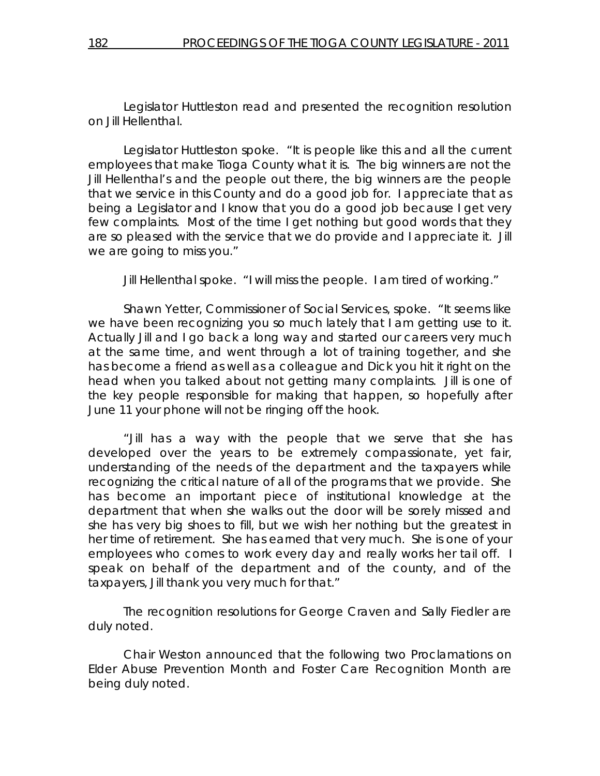Legislator Huttleston read and presented the recognition resolution on Jill Hellenthal.

 Legislator Huttleston spoke. "It is people like this and all the current employees that make Tioga County what it is. The big winners are not the Jill Hellenthal's and the people out there, the big winners are the people that we service in this County and do a good job for. I appreciate that as being a Legislator and I know that you do a good job because I get very few complaints. Most of the time I get nothing but good words that they are so pleased with the service that we do provide and I appreciate it. Jill we are going to miss you."

Jill Hellenthal spoke. "I will miss the people. I am tired of working."

 Shawn Yetter, Commissioner of Social Services, spoke. "It seems like we have been recognizing you so much lately that I am getting use to it. Actually Jill and I go back a long way and started our careers very much at the same time, and went through a lot of training together, and she has become a friend as well as a colleague and Dick you hit it right on the head when you talked about not getting many complaints. Jill is one of the key people responsible for making that happen, so hopefully after June 11 your phone will not be ringing off the hook.

"Jill has a way with the people that we serve that she has developed over the years to be extremely compassionate, yet fair, understanding of the needs of the department and the taxpayers while recognizing the critical nature of all of the programs that we provide. She has become an important piece of institutional knowledge at the department that when she walks out the door will be sorely missed and she has very big shoes to fill, but we wish her nothing but the greatest in her time of retirement. She has earned that very much. She is one of your employees who comes to work every day and really works her tail off. I speak on behalf of the department and of the county, and of the taxpayers, Jill thank you very much for that."

 The recognition resolutions for George Craven and Sally Fiedler are duly noted.

 Chair Weston announced that the following two Proclamations on Elder Abuse Prevention Month and Foster Care Recognition Month are being duly noted.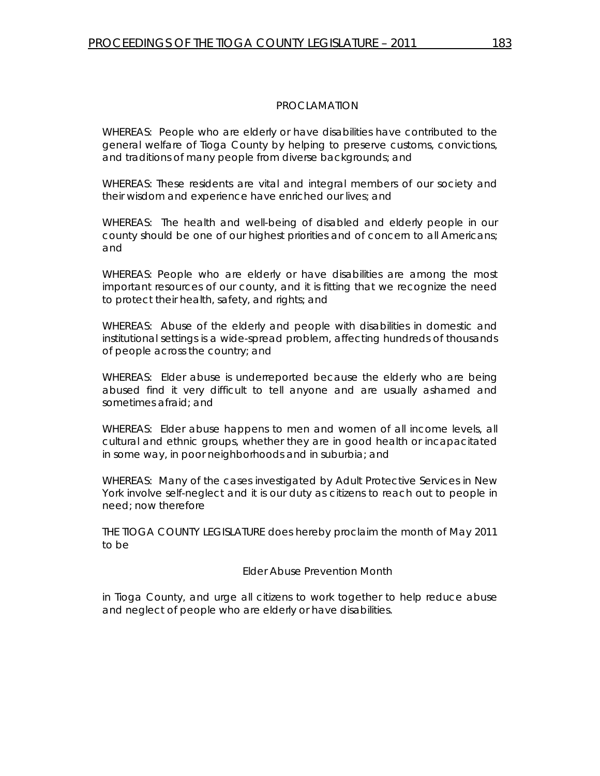WHEREAS: People who are elderly or have disabilities have contributed to the general welfare of Tioga County by helping to preserve customs, convictions, and traditions of many people from diverse backgrounds; and

WHEREAS: These residents are vital and integral members of our society and their wisdom and experience have enriched our lives; and

WHEREAS: The health and well-being of disabled and elderly people in our county should be one of our highest priorities and of concern to all Americans; and

WHEREAS: People who are elderly or have disabilities are among the most important resources of our county, and it is fitting that we recognize the need to protect their health, safety, and rights; and

WHEREAS: Abuse of the elderly and people with disabilities in domestic and institutional settings is a wide-spread problem, affecting hundreds of thousands of people across the country; and

WHEREAS: Elder abuse is underreported because the elderly who are being abused find it very difficult to tell anyone and are usually ashamed and sometimes afraid; and

WHEREAS: Elder abuse happens to men and women of all income levels, all cultural and ethnic groups, whether they are in good health or incapacitated in some way, in poor neighborhoods and in suburbia; and

WHEREAS: Many of the cases investigated by Adult Protective Services in New York involve self-neglect and it is our duty as citizens to reach out to people in need; now therefore

THE TIOGA COUNTY LEGISLATURE does hereby proclaim the month of May 2011 to be

Elder Abuse Prevention Month

in Tioga County, and urge all citizens to work together to help reduce abuse and neglect of people who are elderly or have disabilities.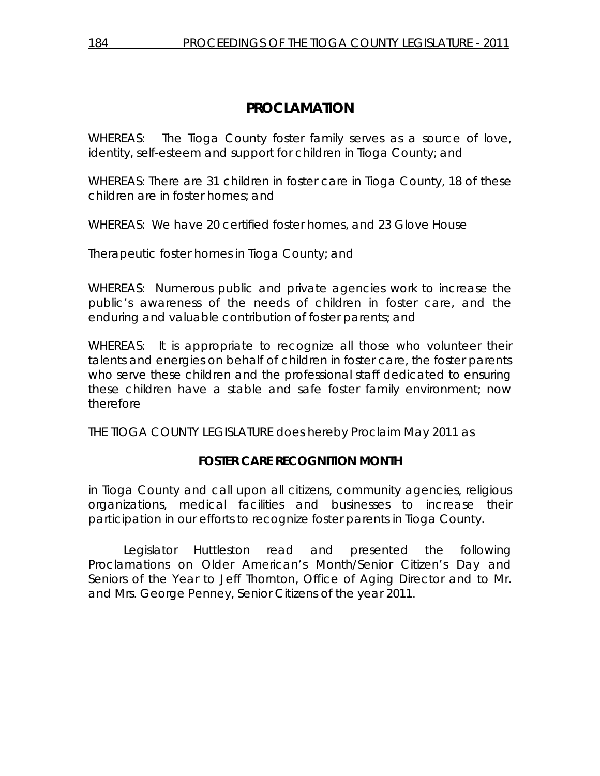WHEREAS: The Tioga County foster family serves as a source of love, identity, self-esteem and support for children in Tioga County; and

WHEREAS: There are 31 children in foster care in Tioga County, 18 of these children are in foster homes; and

WHEREAS: We have 20 certified foster homes, and 23 Glove House

Therapeutic foster homes in Tioga County; and

WHEREAS: Numerous public and private agencies work to increase the public's awareness of the needs of children in foster care, and the enduring and valuable contribution of foster parents; and

WHEREAS: It is appropriate to recognize all those who volunteer their talents and energies on behalf of children in foster care, the foster parents who serve these children and the professional staff dedicated to ensuring these children have a stable and safe foster family environment; now therefore

THE TIOGA COUNTY LEGISLATURE does hereby Proclaim May 2011 as

# **FOSTER CARE RECOGNITION MONTH**

in Tioga County and call upon all citizens, community agencies, religious organizations, medical facilities and businesses to increase their participation in our efforts to recognize foster parents in Tioga County.

 Legislator Huttleston read and presented the following Proclamations on Older American's Month/Senior Citizen's Day and Seniors of the Year to Jeff Thornton, Office of Aging Director and to Mr. and Mrs. George Penney, Senior Citizens of the year 2011.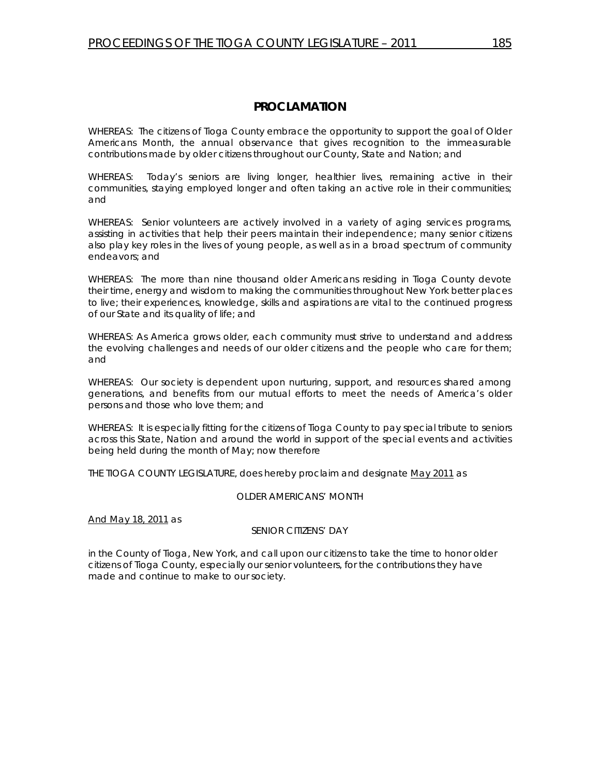WHEREAS: The citizens of Tioga County embrace the opportunity to support the goal of Older Americans Month, the annual observance that gives recognition to the immeasurable contributions made by older citizens throughout our County, State and Nation; and

WHEREAS: Today's seniors are living longer, healthier lives, remaining active in their communities, staying employed longer and often taking an active role in their communities; and

WHEREAS: Senior volunteers are actively involved in a variety of aging services programs, assisting in activities that help their peers maintain their independence; many senior citizens also play key roles in the lives of young people, as well as in a broad spectrum of community endeavors; and

WHEREAS: The more than nine thousand older Americans residing in Tioga County devote their time, energy and wisdom to making the communities throughout New York better places to live; their experiences, knowledge, skills and aspirations are vital to the continued progress of our State and its quality of life; and

WHEREAS: As America grows older, each community must strive to understand and address the evolving challenges and needs of our older citizens and the people who care for them; and

WHEREAS: Our society is dependent upon nurturing, support, and resources shared among generations, and benefits from our mutual efforts to meet the needs of America's older persons and those who love them; and

WHEREAS: It is especially fitting for the citizens of Tioga County to pay special tribute to seniors across this State, Nation and around the world in support of the special events and activities being held during the month of May; now therefore

THE TIOGA COUNTY LEGISLATURE, does hereby proclaim and designate May 2011 as

#### *OLDER AMERICANS' MONTH*

And May 18, 2011 as

#### *SENIOR CITIZENS' DAY*

in the County of Tioga, New York, and call upon our citizens to take the time to honor older citizens of Tioga County, especially our senior volunteers, for the contributions they have made and continue to make to our society.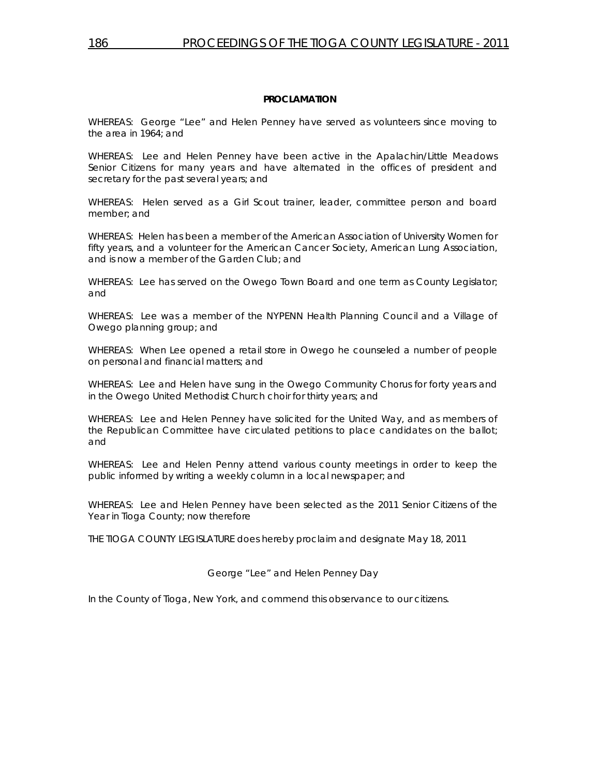WHEREAS: George "Lee" and Helen Penney have served as volunteers since moving to the area in 1964; and

WHEREAS: Lee and Helen Penney have been active in the Apalachin/Little Meadows Senior Citizens for many years and have alternated in the offices of president and secretary for the past several years; and

WHEREAS: Helen served as a Girl Scout trainer, leader, committee person and board member; and

WHEREAS: Helen has been a member of the American Association of University Women for fifty years, and a volunteer for the American Cancer Society, American Lung Association, and is now a member of the Garden Club; and

WHEREAS: Lee has served on the Owego Town Board and one term as County Legislator; and

WHEREAS: Lee was a member of the NYPENN Health Planning Council and a Village of Owego planning group; and

WHEREAS: When Lee opened a retail store in Owego he counseled a number of people on personal and financial matters; and

WHEREAS: Lee and Helen have sung in the Owego Community Chorus for forty years and in the Owego United Methodist Church choir for thirty years; and

WHEREAS: Lee and Helen Penney have solicited for the United Way, and as members of the Republican Committee have circulated petitions to place candidates on the ballot; and

WHEREAS: Lee and Helen Penny attend various county meetings in order to keep the public informed by writing a weekly column in a local newspaper; and

WHEREAS: Lee and Helen Penney have been selected as the 2011 Senior Citizens of the Year in Tioga County; now therefore

THE TIOGA COUNTY LEGISLATURE does hereby proclaim and designate May 18, 2011

#### *George "Lee" and Helen Penney Day*

In the County of Tioga, New York, and commend this observance to our citizens.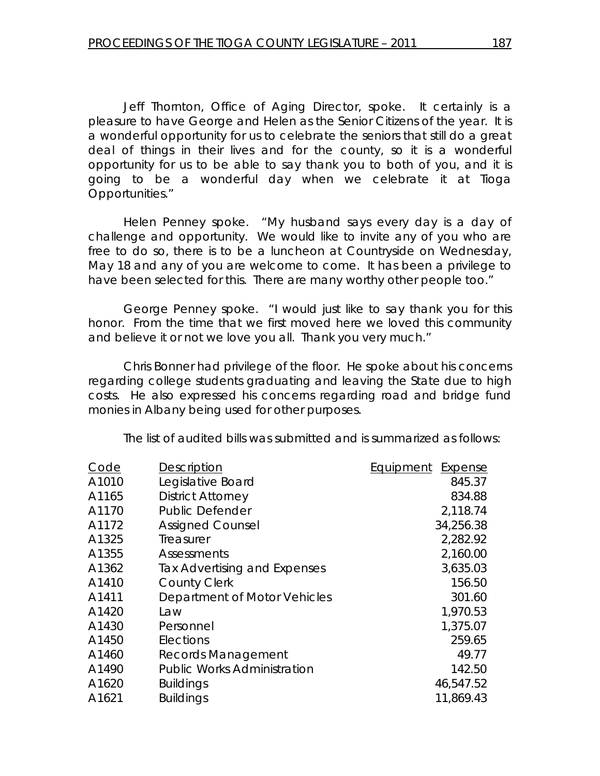Jeff Thornton, Office of Aging Director, spoke. It certainly is a pleasure to have George and Helen as the Senior Citizens of the year. It is a wonderful opportunity for us to celebrate the seniors that still do a great deal of things in their lives and for the county, so it is a wonderful opportunity for us to be able to say thank you to both of you, and it is going to be a wonderful day when we celebrate it at Tioga Opportunities."

 Helen Penney spoke. "My husband says every day is a day of challenge and opportunity. We would like to invite any of you who are free to do so, there is to be a luncheon at Countryside on Wednesday, May 18 and any of you are welcome to come. It has been a privilege to have been selected for this. There are many worthy other people too."

 George Penney spoke. "I would just like to say thank you for this honor. From the time that we first moved here we loved this community and believe it or not we love you all. Thank you very much."

 Chris Bonner had privilege of the floor. He spoke about his concerns regarding college students graduating and leaving the State due to high costs. He also expressed his concerns regarding road and bridge fund monies in Albany being used for other purposes.

The list of audited bills was submitted and is summarized as follows:

| Code  | <b>Description</b>                 | <b>Equipment Expense</b> |
|-------|------------------------------------|--------------------------|
| A1010 | Legislative Board                  | 845.37                   |
| A1165 | <b>District Attorney</b>           | 834.88                   |
| A1170 | <b>Public Defender</b>             | 2,118.74                 |
| A1172 | <b>Assigned Counsel</b>            | 34,256.38                |
| A1325 | Treasurer                          | 2,282.92                 |
| A1355 | Assessments                        | 2,160.00                 |
| A1362 | Tax Advertising and Expenses       | 3,635.03                 |
| A1410 | <b>County Clerk</b>                | 156.50                   |
| A1411 | Department of Motor Vehicles       | 301.60                   |
| A1420 | Law                                | 1,970.53                 |
| A1430 | Personnel                          | 1,375.07                 |
| A1450 | Elections                          | 259.65                   |
| A1460 | Records Management                 | 49.77                    |
| A1490 | <b>Public Works Administration</b> | 142.50                   |
| A1620 | <b>Buildings</b>                   | 46,547.52                |
| A1621 | <b>Buildings</b>                   | 11,869.43                |
|       |                                    |                          |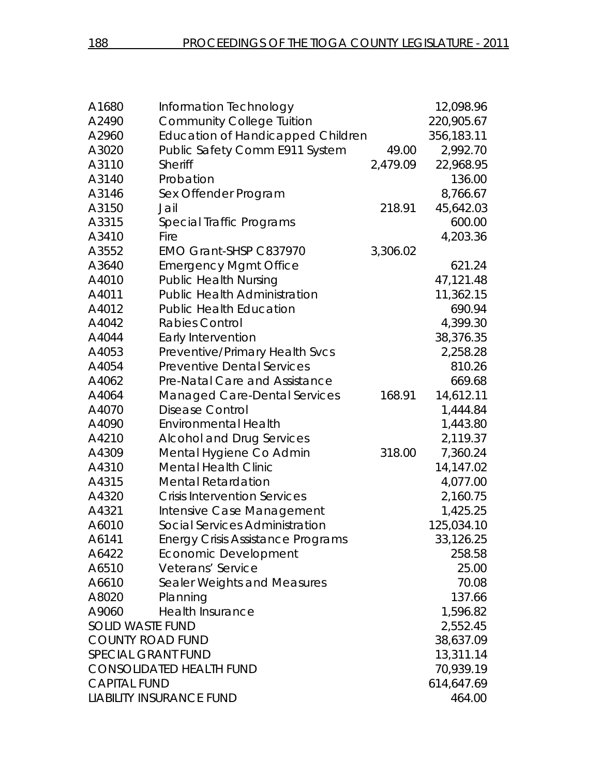| A1680                           | Information Technology                   |           | 12,098.96  |
|---------------------------------|------------------------------------------|-----------|------------|
| A2490                           | <b>Community College Tuition</b>         |           | 220,905.67 |
| A2960                           | <b>Education of Handicapped Children</b> |           | 356,183.11 |
| A3020                           | Public Safety Comm E911 System           | 49.00     | 2,992.70   |
| A3110                           | Sheriff                                  | 2,479.09  | 22,968.95  |
| A3140                           | Probation                                |           | 136.00     |
| A3146                           | Sex Offender Program                     |           | 8,766.67   |
| A3150                           | Jail                                     | 218.91    | 45,642.03  |
| A3315                           | Special Traffic Programs                 |           | 600.00     |
| A3410                           | Fire                                     |           | 4,203.36   |
| A3552                           | EMO Grant-SHSP C837970                   | 3,306.02  |            |
| A3640                           | <b>Emergency Mgmt Office</b>             |           | 621.24     |
| A4010                           | <b>Public Health Nursing</b>             |           | 47,121.48  |
| A4011                           | <b>Public Health Administration</b>      |           | 11,362.15  |
| A4012                           | <b>Public Health Education</b>           |           | 690.94     |
| A4042                           | <b>Rabies Control</b>                    |           | 4,399.30   |
| A4044                           | Early Intervention                       |           | 38,376.35  |
| A4053                           | Preventive/Primary Health Svcs           |           | 2,258.28   |
| A4054                           | <b>Preventive Dental Services</b>        |           | 810.26     |
| A4062                           | Pre-Natal Care and Assistance            |           | 669.68     |
| A4064                           | Managed Care-Dental Services             | 168.91    | 14,612.11  |
| A4070                           | <b>Disease Control</b>                   |           | 1,444.84   |
| A4090                           | <b>Environmental Health</b>              |           | 1,443.80   |
| A4210                           | <b>Alcohol and Drug Services</b>         |           | 2,119.37   |
| A4309                           | Mental Hygiene Co Admin                  | 318.00    | 7,360.24   |
| A4310                           | <b>Mental Health Clinic</b>              |           | 14,147.02  |
| A4315                           | <b>Mental Retardation</b>                |           | 4,077.00   |
| A4320                           | <b>Crisis Intervention Services</b>      |           | 2,160.75   |
| A4321                           | Intensive Case Management                |           | 1,425.25   |
| A6010                           | Social Services Administration           |           | 125,034.10 |
| A6141                           | <b>Energy Crisis Assistance Programs</b> |           | 33,126.25  |
| A6422                           | <b>Economic Development</b>              |           | 258.58     |
| A6510                           | Veterans' Service                        |           | 25.00      |
| A6610                           | Sealer Weights and Measures              |           | 70.08      |
| A8020                           | Planning                                 |           | 137.66     |
| A9060                           | <b>Health Insurance</b>                  |           | 1,596.82   |
| <b>SOLID WASTE FUND</b>         |                                          | 2,552.45  |            |
| <b>COUNTY ROAD FUND</b>         |                                          |           | 38,637.09  |
| <b>SPECIAL GRANT FUND</b>       |                                          | 13,311.14 |            |
| <b>CONSOLIDATED HEALTH FUND</b> |                                          | 70,939.19 |            |
| <b>CAPITAL FUND</b>             |                                          |           | 614,647.69 |
|                                 | <b>LIABILITY INSURANCE FUND</b>          |           | 464.00     |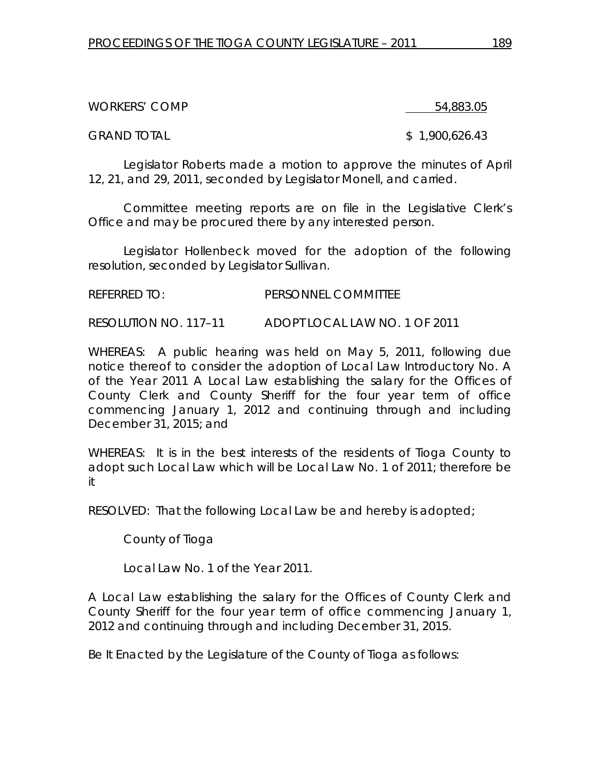WORKERS' COMP 64,883.05

GRAND TOTAL \$ 1,900,626.43

Legislator Roberts made a motion to approve the minutes of April 12, 21, and 29, 2011, seconded by Legislator Monell, and carried.

Committee meeting reports are on file in the Legislative Clerk's Office and may be procured there by any interested person.

 Legislator Hollenbeck moved for the adoption of the following resolution, seconded by Legislator Sullivan.

REFERRED TO: PERSONNEL COMMITTEE

RESOLUTION NO. 117–11 *ADOPT LOCAL LAW NO. 1 OF 2011* 

WHEREAS: A public hearing was held on May 5, 2011, following due notice thereof to consider the adoption of Local Law Introductory No. A of the Year 2011 A Local Law establishing the salary for the Offices of County Clerk and County Sheriff for the four year term of office commencing January 1, 2012 and continuing through and including December 31, 2015; and

WHEREAS: It is in the best interests of the residents of Tioga County to adopt such Local Law which will be Local Law No. 1 of 2011; therefore be it

RESOLVED: That the following Local Law be and hereby is adopted;

County of Tioga

Local Law No. 1 of the Year 2011.

A Local Law establishing the salary for the Offices of County Clerk and County Sheriff for the four year term of office commencing January 1, 2012 and continuing through and including December 31, 2015.

Be It Enacted by the Legislature of the County of Tioga as follows: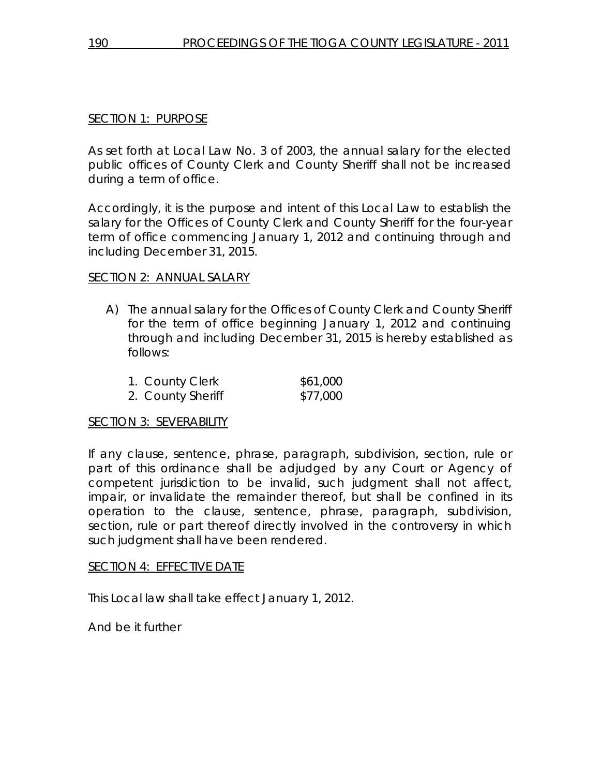# SECTION 1: PURPOSE

As set forth at Local Law No. 3 of 2003, the annual salary for the elected public offices of County Clerk and County Sheriff shall not be increased during a term of office.

Accordingly, it is the purpose and intent of this Local Law to establish the salary for the Offices of County Clerk and County Sheriff for the four-year term of office commencing January 1, 2012 and continuing through and including December 31, 2015.

## SECTION 2: ANNUAL SALARY

A) The annual salary for the Offices of County Clerk and County Sheriff for the term of office beginning January 1, 2012 and continuing through and including December 31, 2015 is hereby established as follows:

| 1. County Clerk   | \$61,000 |
|-------------------|----------|
| 2. County Sheriff | \$77,000 |

### SECTION 3: SEVERABILITY

If any clause, sentence, phrase, paragraph, subdivision, section, rule or part of this ordinance shall be adjudged by any Court or Agency of competent jurisdiction to be invalid, such judgment shall not affect, impair, or invalidate the remainder thereof, but shall be confined in its operation to the clause, sentence, phrase, paragraph, subdivision, section, rule or part thereof directly involved in the controversy in which such judgment shall have been rendered.

### SECTION 4: EFFECTIVE DATE

This Local law shall take effect January 1, 2012.

And be it further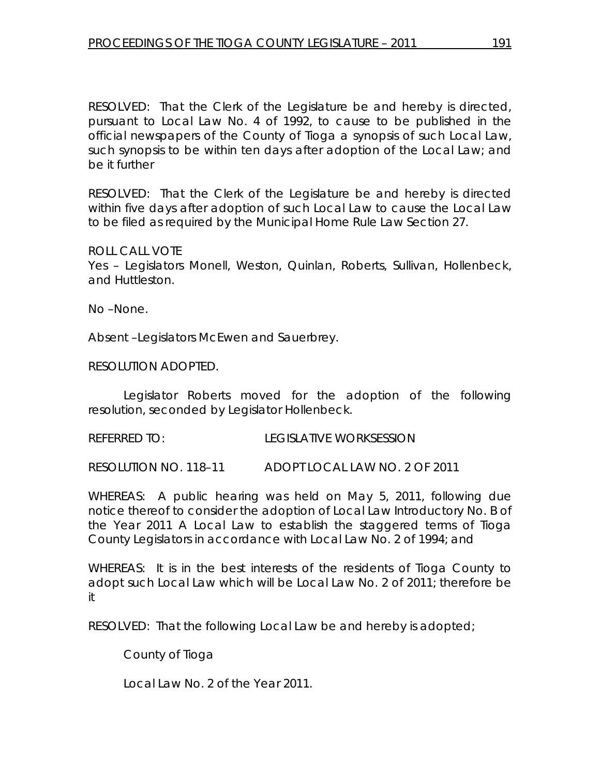RESOLVED: That the Clerk of the Legislature be and hereby is directed, pursuant to Local Law No. 4 of 1992, to cause to be published in the official newspapers of the County of Tioga a synopsis of such Local Law, such synopsis to be within ten days after adoption of the Local Law; and be it further

RESOLVED: That the Clerk of the Legislature be and hereby is directed within five days after adoption of such Local Law to cause the Local Law to be filed as required by the Municipal Home Rule Law Section 27.

#### ROLL CALL VOTE

Yes – Legislators Monell, Weston, Quinlan, Roberts, Sullivan, Hollenbeck, and Huttleston.

No –None.

Absent –Legislators McEwen and Sauerbrey.

RESOLUTION ADOPTED.

 Legislator Roberts moved for the adoption of the following resolution, seconded by Legislator Hollenbeck.

REFERRED TO: LEGISLATIVE WORKSESSION

RESOLUTION NO. 118–11 *ADOPT LOCAL LAW NO. 2 OF 2011* 

WHEREAS: A public hearing was held on May 5, 2011, following due notice thereof to consider the adoption of Local Law Introductory No. B of the Year 2011 A Local Law to establish the staggered terms of Tioga County Legislators in accordance with Local Law No. 2 of 1994; and

WHEREAS: It is in the best interests of the residents of Tioga County to adopt such Local Law which will be Local Law No. 2 of 2011; therefore be it

RESOLVED: That the following Local Law be and hereby is adopted;

County of Tioga

Local Law No. 2 of the Year 2011.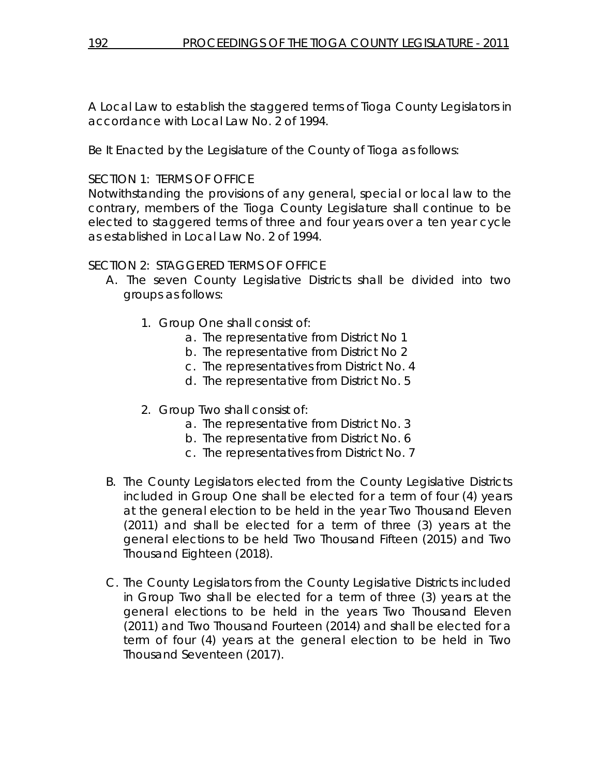A Local Law to establish the staggered terms of Tioga County Legislators in accordance with Local Law No. 2 of 1994.

Be It Enacted by the Legislature of the County of Tioga as follows:

# SECTION 1: TERMS OF OFFICE

Notwithstanding the provisions of any general, special or local law to the contrary, members of the Tioga County Legislature shall continue to be elected to staggered terms of three and four years over a ten year cycle as established in Local Law No. 2 of 1994.

# SECTION 2: STAGGERED TERMS OF OFFICE

- A. The seven County Legislative Districts shall be divided into two groups as follows:
	- 1. Group One shall consist of:
		- a. The representative from District No 1
		- b. The representative from District No 2
		- c. The representatives from District No. 4
		- d. The representative from District No. 5
	- 2. Group Two shall consist of:
		- a. The representative from District No. 3
		- b. The representative from District No. 6
		- c. The representatives from District No. 7
- B. The County Legislators elected from the County Legislative Districts included in Group One shall be elected for a term of four (4) years at the general election to be held in the year Two Thousand Eleven (2011) and shall be elected for a term of three (3) years at the general elections to be held Two Thousand Fifteen (2015) and Two Thousand Eighteen (2018).
- C. The County Legislators from the County Legislative Districts included in Group Two shall be elected for a term of three (3) years at the general elections to be held in the years Two Thousand Eleven (2011) and Two Thousand Fourteen (2014) and shall be elected for a term of four (4) years at the general election to be held in Two Thousand Seventeen (2017).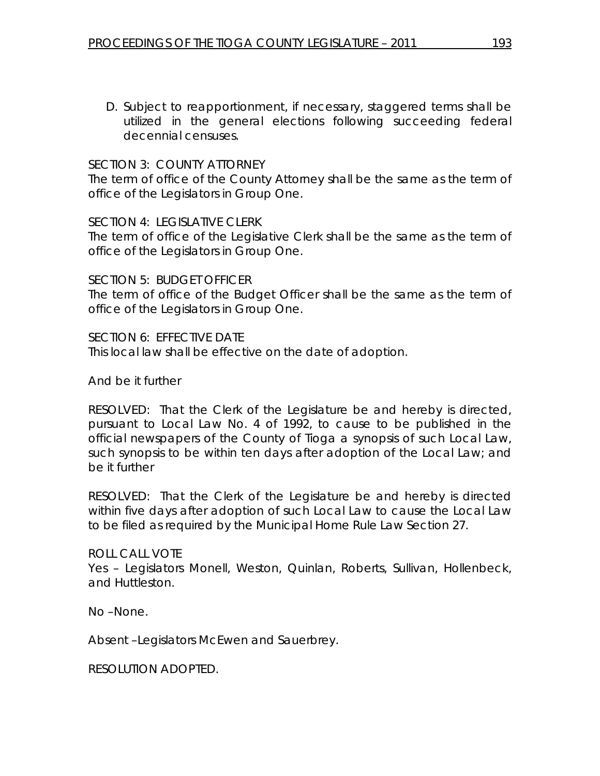D. Subject to reapportionment, if necessary, staggered terms shall be utilized in the general elections following succeeding federal decennial censuses.

### SECTION 3: COUNTY ATTORNEY

The term of office of the County Attorney shall be the same as the term of office of the Legislators in Group One.

#### SECTION 4: LEGISLATIVE CLERK

The term of office of the Legislative Clerk shall be the same as the term of office of the Legislators in Group One.

SECTION 5: BUDGET OFFICER The term of office of the Budget Officer shall be the same as the term of office of the Legislators in Group One.

SECTION 6: EFFECTIVE DATE This local law shall be effective on the date of adoption.

And be it further

RESOLVED: That the Clerk of the Legislature be and hereby is directed, pursuant to Local Law No. 4 of 1992, to cause to be published in the official newspapers of the County of Tioga a synopsis of such Local Law, such synopsis to be within ten days after adoption of the Local Law; and be it further

RESOLVED: That the Clerk of the Legislature be and hereby is directed within five days after adoption of such Local Law to cause the Local Law to be filed as required by the Municipal Home Rule Law Section 27.

ROLL CALL VOTE Yes – Legislators Monell, Weston, Quinlan, Roberts, Sullivan, Hollenbeck, and Huttleston.

No –None.

Absent –Legislators McEwen and Sauerbrey.

RESOLUTION ADOPTED.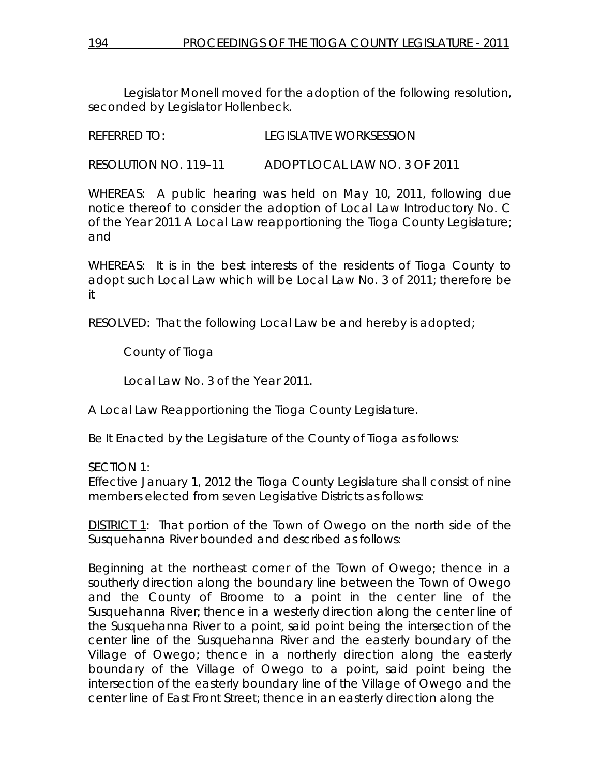Legislator Monell moved for the adoption of the following resolution, seconded by Legislator Hollenbeck.

REFERRED TO: LEGISLATIVE WORKSESSION

RESOLUTION NO. 119–11 *ADOPT LOCAL LAW NO. 3 OF 2011* 

WHEREAS: A public hearing was held on May 10, 2011, following due notice thereof to consider the adoption of Local Law Introductory No. C of the Year 2011 A Local Law reapportioning the Tioga County Legislature; and

WHEREAS: It is in the best interests of the residents of Tioga County to adopt such Local Law which will be Local Law No. 3 of 2011; therefore be it

RESOLVED: That the following Local Law be and hereby is adopted;

County of Tioga

Local Law No. 3 of the Year 2011.

A Local Law Reapportioning the Tioga County Legislature.

Be It Enacted by the Legislature of the County of Tioga as follows:

# SECTION 1:

Effective January 1, 2012 the Tioga County Legislature shall consist of nine members elected from seven Legislative Districts as follows:

DISTRICT 1: That portion of the Town of Owego on the north side of the Susquehanna River bounded and described as follows:

Beginning at the northeast corner of the Town of Owego; thence in a southerly direction along the boundary line between the Town of Owego and the County of Broome to a point in the center line of the Susquehanna River; thence in a westerly direction along the center line of the Susquehanna River to a point, said point being the intersection of the center line of the Susquehanna River and the easterly boundary of the Village of Owego; thence in a northerly direction along the easterly boundary of the Village of Owego to a point, said point being the intersection of the easterly boundary line of the Village of Owego and the center line of East Front Street; thence in an easterly direction along the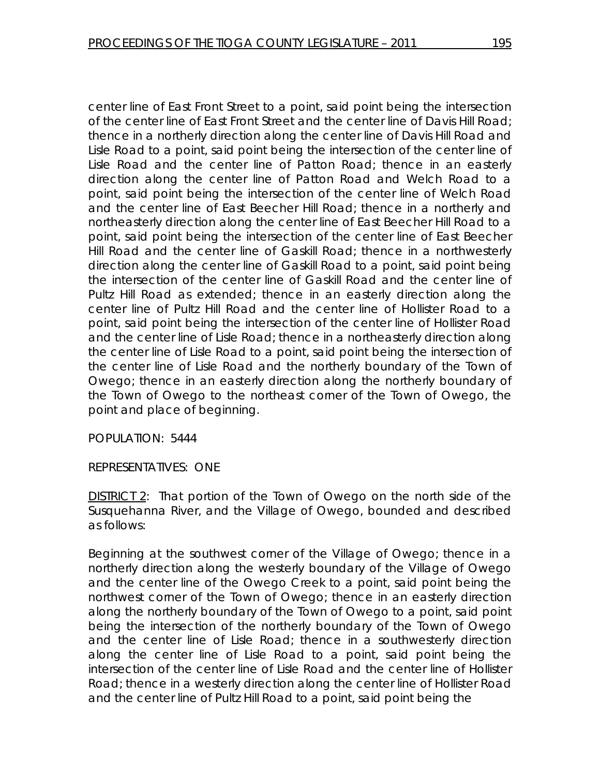center line of East Front Street to a point, said point being the intersection of the center line of East Front Street and the center line of Davis Hill Road; thence in a northerly direction along the center line of Davis Hill Road and Lisle Road to a point, said point being the intersection of the center line of Lisle Road and the center line of Patton Road; thence in an easterly direction along the center line of Patton Road and Welch Road to a point, said point being the intersection of the center line of Welch Road and the center line of East Beecher Hill Road; thence in a northerly and northeasterly direction along the center line of East Beecher Hill Road to a point, said point being the intersection of the center line of East Beecher Hill Road and the center line of Gaskill Road; thence in a northwesterly direction along the center line of Gaskill Road to a point, said point being the intersection of the center line of Gaskill Road and the center line of Pultz Hill Road as extended; thence in an easterly direction along the center line of Pultz Hill Road and the center line of Hollister Road to a point, said point being the intersection of the center line of Hollister Road and the center line of Lisle Road; thence in a northeasterly direction along the center line of Lisle Road to a point, said point being the intersection of the center line of Lisle Road and the northerly boundary of the Town of Owego; thence in an easterly direction along the northerly boundary of the Town of Owego to the northeast corner of the Town of Owego, the point and place of beginning.

POPULATION: 5444

REPRESENTATIVES: ONE

DISTRICT 2: That portion of the Town of Owego on the north side of the Susquehanna River, and the Village of Owego, bounded and described as follows:

Beginning at the southwest corner of the Village of Owego; thence in a northerly direction along the westerly boundary of the Village of Owego and the center line of the Owego Creek to a point, said point being the northwest corner of the Town of Owego; thence in an easterly direction along the northerly boundary of the Town of Owego to a point, said point being the intersection of the northerly boundary of the Town of Owego and the center line of Lisle Road; thence in a southwesterly direction along the center line of Lisle Road to a point, said point being the intersection of the center line of Lisle Road and the center line of Hollister Road; thence in a westerly direction along the center line of Hollister Road and the center line of Pultz Hill Road to a point, said point being the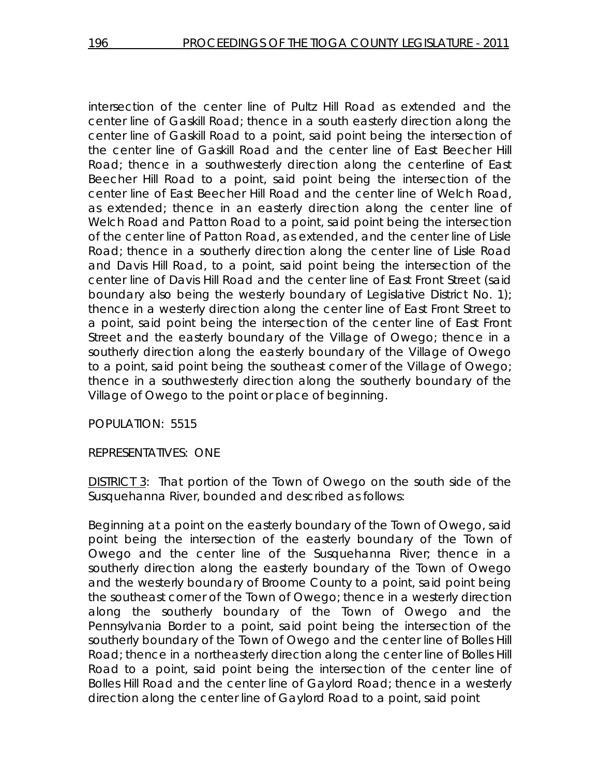intersection of the center line of Pultz Hill Road as extended and the center line of Gaskill Road; thence in a south easterly direction along the center line of Gaskill Road to a point, said point being the intersection of the center line of Gaskill Road and the center line of East Beecher Hill Road; thence in a southwesterly direction along the centerline of East Beecher Hill Road to a point, said point being the intersection of the center line of East Beecher Hill Road and the center line of Welch Road, as extended; thence in an easterly direction along the center line of Welch Road and Patton Road to a point, said point being the intersection of the center line of Patton Road, as extended, and the center line of Lisle Road; thence in a southerly direction along the center line of Lisle Road and Davis Hill Road, to a point, said point being the intersection of the center line of Davis Hill Road and the center line of East Front Street (said boundary also being the westerly boundary of Legislative District No. 1); thence in a westerly direction along the center line of East Front Street to a point, said point being the intersection of the center line of East Front Street and the easterly boundary of the Village of Owego; thence in a southerly direction along the easterly boundary of the Village of Owego to a point, said point being the southeast corner of the Village of Owego; thence in a southwesterly direction along the southerly boundary of the Village of Owego to the point or place of beginning.

POPULATION: 5515

REPRESENTATIVES: ONE

DISTRICT 3: That portion of the Town of Owego on the south side of the Susquehanna River, bounded and described as follows:

Beginning at a point on the easterly boundary of the Town of Owego, said point being the intersection of the easterly boundary of the Town of Owego and the center line of the Susquehanna River; thence in a southerly direction along the easterly boundary of the Town of Owego and the westerly boundary of Broome County to a point, said point being the southeast corner of the Town of Owego; thence in a westerly direction along the southerly boundary of the Town of Owego and the Pennsylvania Border to a point, said point being the intersection of the southerly boundary of the Town of Owego and the center line of Bolles Hill Road; thence in a northeasterly direction along the center line of Bolles Hill Road to a point, said point being the intersection of the center line of Bolles Hill Road and the center line of Gaylord Road; thence in a westerly direction along the center line of Gaylord Road to a point, said point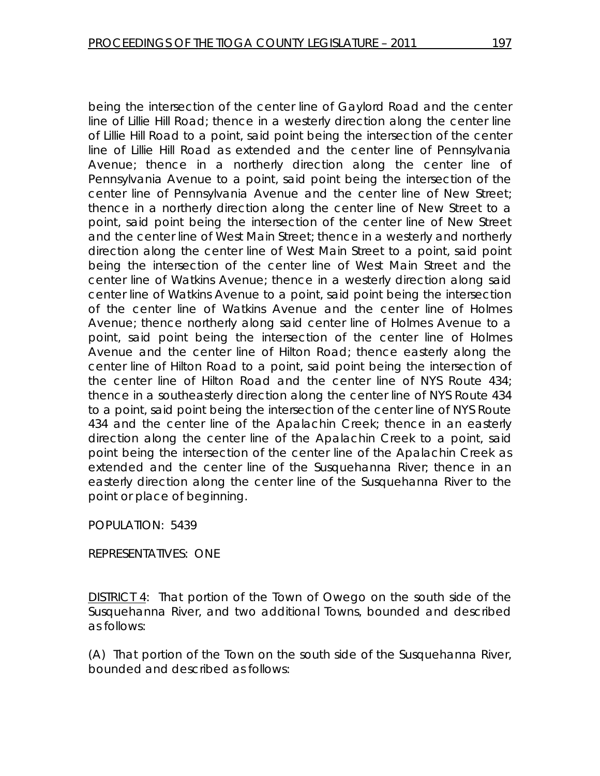being the intersection of the center line of Gaylord Road and the center line of Lillie Hill Road; thence in a westerly direction along the center line of Lillie Hill Road to a point, said point being the intersection of the center line of Lillie Hill Road as extended and the center line of Pennsylvania Avenue; thence in a northerly direction along the center line of Pennsylvania Avenue to a point, said point being the intersection of the center line of Pennsylvania Avenue and the center line of New Street; thence in a northerly direction along the center line of New Street to a point, said point being the intersection of the center line of New Street and the center line of West Main Street; thence in a westerly and northerly direction along the center line of West Main Street to a point, said point being the intersection of the center line of West Main Street and the center line of Watkins Avenue; thence in a westerly direction along said center line of Watkins Avenue to a point, said point being the intersection of the center line of Watkins Avenue and the center line of Holmes Avenue; thence northerly along said center line of Holmes Avenue to a point, said point being the intersection of the center line of Holmes Avenue and the center line of Hilton Road; thence easterly along the center line of Hilton Road to a point, said point being the intersection of the center line of Hilton Road and the center line of NYS Route 434; thence in a southeasterly direction along the center line of NYS Route 434 to a point, said point being the intersection of the center line of NYS Route 434 and the center line of the Apalachin Creek; thence in an easterly direction along the center line of the Apalachin Creek to a point, said point being the intersection of the center line of the Apalachin Creek as extended and the center line of the Susquehanna River; thence in an easterly direction along the center line of the Susquehanna River to the point or place of beginning.

POPULATION: 5439

REPRESENTATIVES: ONE

DISTRICT 4: That portion of the Town of Owego on the south side of the Susquehanna River, and two additional Towns, bounded and described as follows:

(A) That portion of the Town on the south side of the Susquehanna River, bounded and described as follows: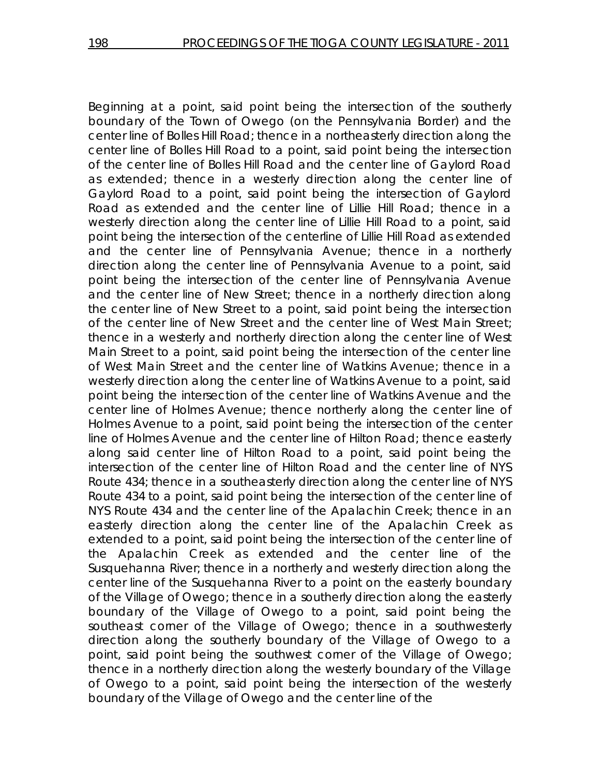Beginning at a point, said point being the intersection of the southerly boundary of the Town of Owego (on the Pennsylvania Border) and the center line of Bolles Hill Road; thence in a northeasterly direction along the center line of Bolles Hill Road to a point, said point being the intersection of the center line of Bolles Hill Road and the center line of Gaylord Road as extended; thence in a westerly direction along the center line of Gaylord Road to a point, said point being the intersection of Gaylord Road as extended and the center line of Lillie Hill Road; thence in a westerly direction along the center line of Lillie Hill Road to a point, said point being the intersection of the centerline of Lillie Hill Road as extended and the center line of Pennsylvania Avenue; thence in a northerly direction along the center line of Pennsylvania Avenue to a point, said point being the intersection of the center line of Pennsylvania Avenue and the center line of New Street; thence in a northerly direction along the center line of New Street to a point, said point being the intersection of the center line of New Street and the center line of West Main Street; thence in a westerly and northerly direction along the center line of West Main Street to a point, said point being the intersection of the center line of West Main Street and the center line of Watkins Avenue; thence in a westerly direction along the center line of Watkins Avenue to a point, said point being the intersection of the center line of Watkins Avenue and the center line of Holmes Avenue; thence northerly along the center line of Holmes Avenue to a point, said point being the intersection of the center line of Holmes Avenue and the center line of Hilton Road; thence easterly along said center line of Hilton Road to a point, said point being the intersection of the center line of Hilton Road and the center line of NYS Route 434; thence in a southeasterly direction along the center line of NYS Route 434 to a point, said point being the intersection of the center line of NYS Route 434 and the center line of the Apalachin Creek; thence in an easterly direction along the center line of the Apalachin Creek as extended to a point, said point being the intersection of the center line of the Apalachin Creek as extended and the center line of the Susquehanna River; thence in a northerly and westerly direction along the center line of the Susquehanna River to a point on the easterly boundary of the Village of Owego; thence in a southerly direction along the easterly boundary of the Village of Owego to a point, said point being the southeast corner of the Village of Owego; thence in a southwesterly direction along the southerly boundary of the Village of Owego to a point, said point being the southwest corner of the Village of Owego; thence in a northerly direction along the westerly boundary of the Village of Owego to a point, said point being the intersection of the westerly boundary of the Village of Owego and the center line of the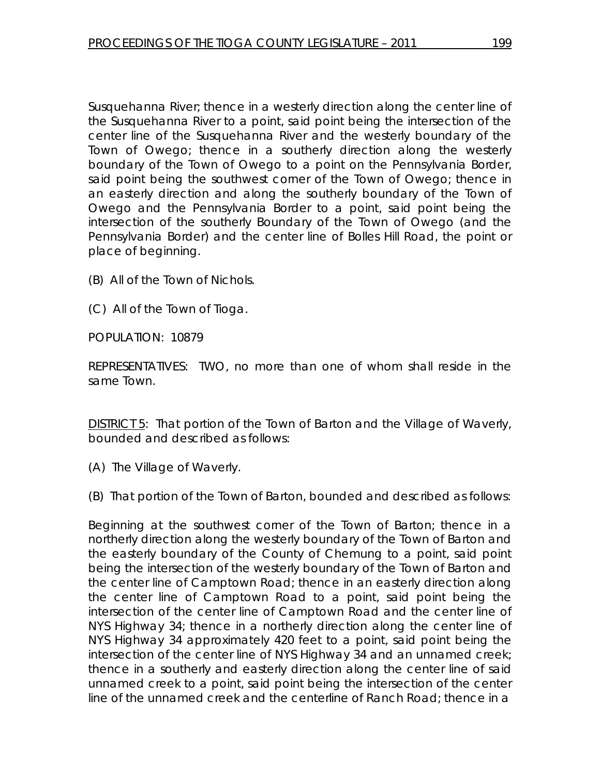Susquehanna River; thence in a westerly direction along the center line of the Susquehanna River to a point, said point being the intersection of the center line of the Susquehanna River and the westerly boundary of the Town of Owego; thence in a southerly direction along the westerly boundary of the Town of Owego to a point on the Pennsylvania Border, said point being the southwest corner of the Town of Owego; thence in an easterly direction and along the southerly boundary of the Town of Owego and the Pennsylvania Border to a point, said point being the intersection of the southerly Boundary of the Town of Owego (and the Pennsylvania Border) and the center line of Bolles Hill Road, the point or place of beginning.

- (B) All of the Town of Nichols.
- (C) All of the Town of Tioga.

POPULATION: 10879

REPRESENTATIVES: TWO, no more than one of whom shall reside in the same Town.

DISTRICT 5: That portion of the Town of Barton and the Village of Waverly, bounded and described as follows:

(A) The Village of Waverly.

(B) That portion of the Town of Barton, bounded and described as follows:

Beginning at the southwest corner of the Town of Barton; thence in a northerly direction along the westerly boundary of the Town of Barton and the easterly boundary of the County of Chemung to a point, said point being the intersection of the westerly boundary of the Town of Barton and the center line of Camptown Road; thence in an easterly direction along the center line of Camptown Road to a point, said point being the intersection of the center line of Camptown Road and the center line of NYS Highway 34; thence in a northerly direction along the center line of NYS Highway 34 approximately 420 feet to a point, said point being the intersection of the center line of NYS Highway 34 and an unnamed creek; thence in a southerly and easterly direction along the center line of said unnamed creek to a point, said point being the intersection of the center line of the unnamed creek and the centerline of Ranch Road; thence in a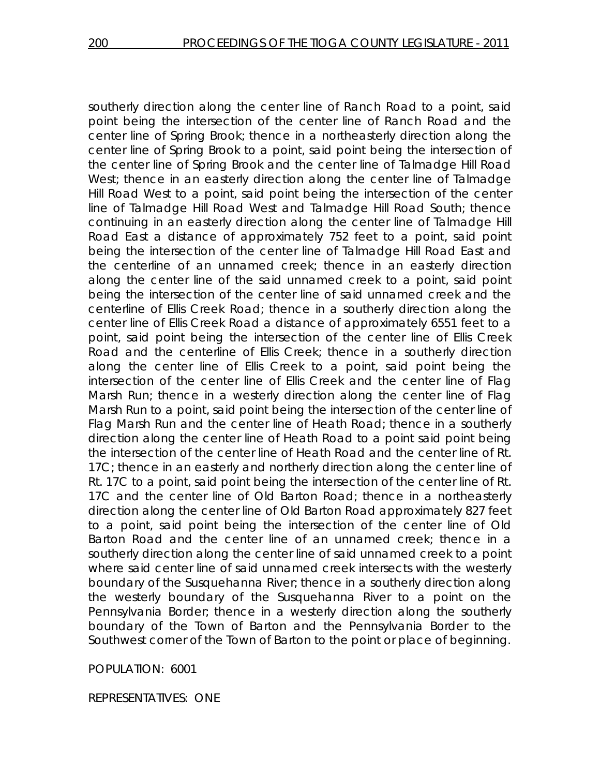southerly direction along the center line of Ranch Road to a point, said point being the intersection of the center line of Ranch Road and the center line of Spring Brook; thence in a northeasterly direction along the center line of Spring Brook to a point, said point being the intersection of the center line of Spring Brook and the center line of Talmadge Hill Road West; thence in an easterly direction along the center line of Talmadge Hill Road West to a point, said point being the intersection of the center line of Talmadge Hill Road West and Talmadge Hill Road South; thence continuing in an easterly direction along the center line of Talmadge Hill Road East a distance of approximately 752 feet to a point, said point being the intersection of the center line of Talmadge Hill Road East and the centerline of an unnamed creek; thence in an easterly direction along the center line of the said unnamed creek to a point, said point being the intersection of the center line of said unnamed creek and the centerline of Ellis Creek Road; thence in a southerly direction along the center line of Ellis Creek Road a distance of approximately 6551 feet to a point, said point being the intersection of the center line of Ellis Creek Road and the centerline of Ellis Creek; thence in a southerly direction along the center line of Ellis Creek to a point, said point being the intersection of the center line of Ellis Creek and the center line of Flag Marsh Run; thence in a westerly direction along the center line of Flag Marsh Run to a point, said point being the intersection of the center line of Flag Marsh Run and the center line of Heath Road; thence in a southerly direction along the center line of Heath Road to a point said point being the intersection of the center line of Heath Road and the center line of Rt. 17C; thence in an easterly and northerly direction along the center line of Rt. 17C to a point, said point being the intersection of the center line of Rt. 17C and the center line of Old Barton Road; thence in a northeasterly direction along the center line of Old Barton Road approximately 827 feet to a point, said point being the intersection of the center line of Old Barton Road and the center line of an unnamed creek; thence in a southerly direction along the center line of said unnamed creek to a point where said center line of said unnamed creek intersects with the westerly boundary of the Susquehanna River; thence in a southerly direction along the westerly boundary of the Susquehanna River to a point on the Pennsylvania Border; thence in a westerly direction along the southerly boundary of the Town of Barton and the Pennsylvania Border to the Southwest corner of the Town of Barton to the point or place of beginning.

POPULATION: 6001

REPRESENTATIVES: ONE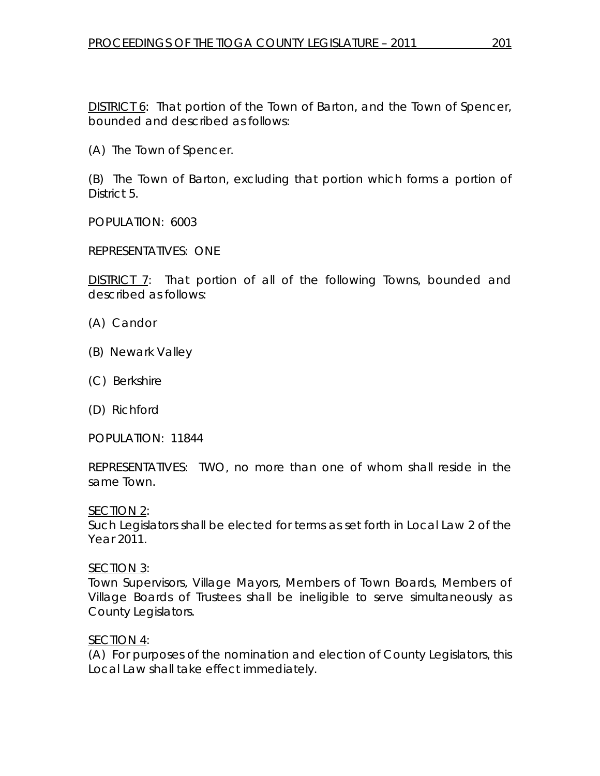DISTRICT 6: That portion of the Town of Barton, and the Town of Spencer, bounded and described as follows:

(A) The Town of Spencer.

(B) The Town of Barton, excluding that portion which forms a portion of District 5.

POPULATION: 6003

REPRESENTATIVES: ONE

DISTRICT 7: That portion of all of the following Towns, bounded and described as follows:

- (A) Candor
- (B) Newark Valley
- (C) Berkshire
- (D) Richford

POPULATION: 11844

REPRESENTATIVES: TWO, no more than one of whom shall reside in the same Town.

SECTION 2:

Such Legislators shall be elected for terms as set forth in Local Law 2 of the Year 2011.

SECTION 3:

Town Supervisors, Village Mayors, Members of Town Boards, Members of Village Boards of Trustees shall be ineligible to serve simultaneously as County Legislators.

### SECTION 4:

(A) For purposes of the nomination and election of County Legislators, this Local Law shall take effect immediately.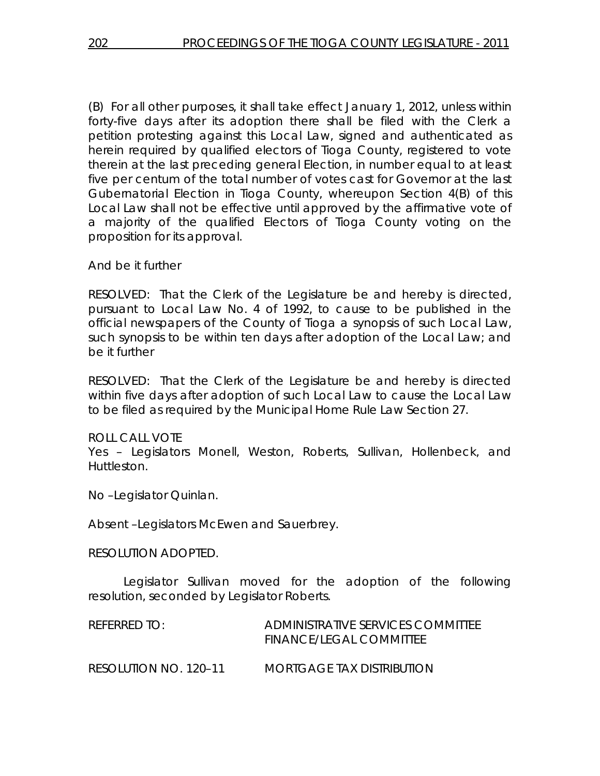(B) For all other purposes, it shall take effect January 1, 2012, unless within forty-five days after its adoption there shall be filed with the Clerk a petition protesting against this Local Law, signed and authenticated as herein required by qualified electors of Tioga County, registered to vote therein at the last preceding general Election, in number equal to at least five per centum of the total number of votes cast for Governor at the last Gubernatorial Election in Tioga County, whereupon Section 4(B) of this Local Law shall not be effective until approved by the affirmative vote of a majority of the qualified Electors of Tioga County voting on the proposition for its approval.

And be it further

RESOLVED: That the Clerk of the Legislature be and hereby is directed, pursuant to Local Law No. 4 of 1992, to cause to be published in the official newspapers of the County of Tioga a synopsis of such Local Law, such synopsis to be within ten days after adoption of the Local Law; and be it further

RESOLVED: That the Clerk of the Legislature be and hereby is directed within five days after adoption of such Local Law to cause the Local Law to be filed as required by the Municipal Home Rule Law Section 27.

ROLL CALL VOTE

Yes – Legislators Monell, Weston, Roberts, Sullivan, Hollenbeck, and Huttleston.

No –Legislator Quinlan.

Absent –Legislators McEwen and Sauerbrey.

RESOLUTION ADOPTED.

 Legislator Sullivan moved for the adoption of the following resolution, seconded by Legislator Roberts.

| REFERRED TO:          | ADMINISTRATIVE SERVICES COMMITTEE<br><b>FINANCE/LEGAL COMMITTEE</b> |
|-----------------------|---------------------------------------------------------------------|
| RESOLUTION NO. 120-11 | <i>MORTGAGE TAX DISTRIBUTION</i>                                    |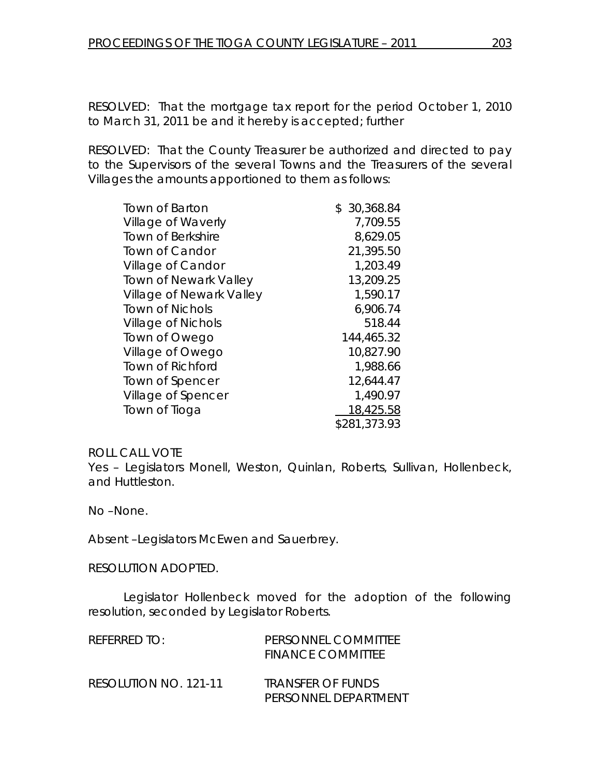RESOLVED: That the mortgage tax report for the period October 1, 2010 to March 31, 2011 be and it hereby is accepted; further

RESOLVED: That the County Treasurer be authorized and directed to pay to the Supervisors of the several Towns and the Treasurers of the several Villages the amounts apportioned to them as follows:

| <b>Town of Barton</b>        | \$30,368.84  |
|------------------------------|--------------|
| Village of Waverly           | 7,709.55     |
| <b>Town of Berkshire</b>     | 8,629.05     |
| Town of Candor               | 21,395.50    |
| Village of Candor            | 1,203.49     |
| <b>Town of Newark Valley</b> | 13,209.25    |
| Village of Newark Valley     | 1,590.17     |
| <b>Town of Nichols</b>       | 6,906.74     |
| <b>Village of Nichols</b>    | 518.44       |
| Town of Owego                | 144,465.32   |
| Village of Owego             | 10,827.90    |
| Town of Richford             | 1,988.66     |
| Town of Spencer              | 12,644.47    |
| Village of Spencer           | 1,490.97     |
| Town of Tioga                | 18,425.58    |
|                              | \$281,373.93 |

### ROLL CALL VOTE

Yes – Legislators Monell, Weston, Quinlan, Roberts, Sullivan, Hollenbeck, and Huttleston.

No –None.

Absent –Legislators McEwen and Sauerbrey.

#### RESOLUTION ADOPTED.

 Legislator Hollenbeck moved for the adoption of the following resolution, seconded by Legislator Roberts.

| $R$ FFFRRFD TO:       | PERSONNEL COMMITTEE<br><b>FINANCE COMMITTEE</b>         |
|-----------------------|---------------------------------------------------------|
| RESOLUTION NO. 121-11 | <i><b>TRANSFER OF FUNDS</b></i><br>Personnel Department |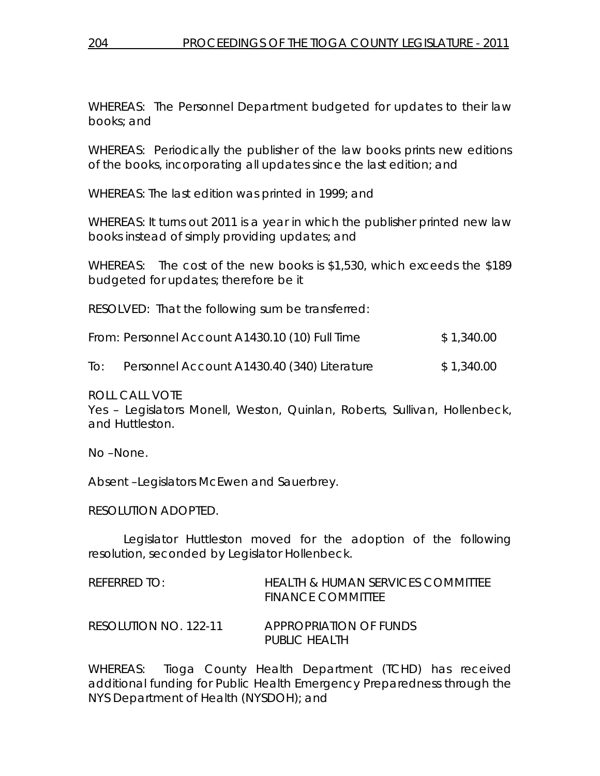WHEREAS: The Personnel Department budgeted for updates to their law books; and

WHEREAS: Periodically the publisher of the law books prints new editions of the books, incorporating all updates since the last edition; and

WHEREAS: The last edition was printed in 1999; and

WHEREAS: It turns out 2011 is a year in which the publisher printed new law books instead of simply providing updates; and

WHEREAS: The cost of the new books is \$1,530, which exceeds the \$189 budgeted for updates; therefore be it

RESOLVED: That the following sum be transferred:

| From: Personnel Account A1430.10 (10) Full Time | \$1,340.00 |
|-------------------------------------------------|------------|
|                                                 |            |

To: Personnel Account A1430.40 (340) Literature \$ 1,340.00

# ROLL CALL VOTE

Yes – Legislators Monell, Weston, Quinlan, Roberts, Sullivan, Hollenbeck, and Huttleston.

No –None.

Absent –Legislators McEwen and Sauerbrey.

# RESOLUTION ADOPTED.

 Legislator Huttleston moved for the adoption of the following resolution, seconded by Legislator Hollenbeck.

| REFERRED TO:          | HEALTH & HUMAN SERVICES COMMITTEE<br><b>FINANCE COMMITTEE</b> |
|-----------------------|---------------------------------------------------------------|
| RESOLUTION NO. 122-11 | <i>APPROPRIATION OF FUNDS</i><br>PUBLIC HEALTH                |

WHEREAS: Tioga County Health Department (TCHD) has received additional funding for Public Health Emergency Preparedness through the NYS Department of Health (NYSDOH); and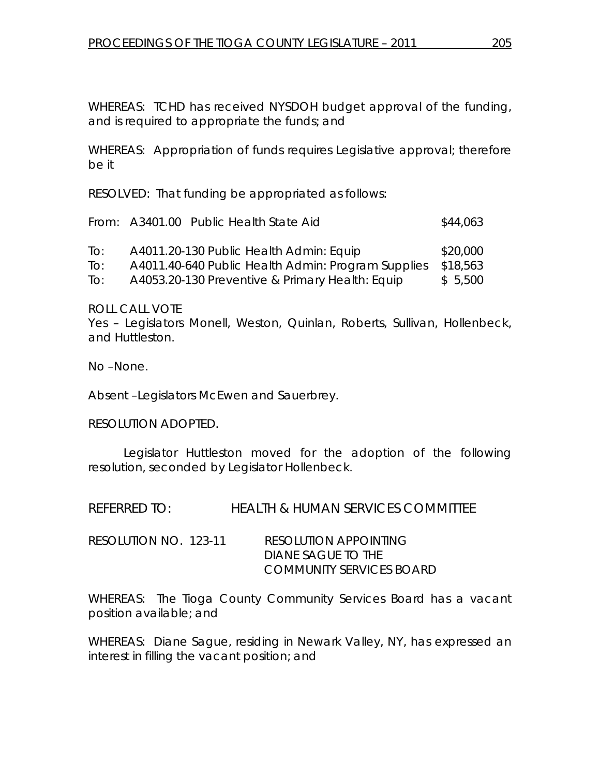WHEREAS: TCHD has received NYSDOH budget approval of the funding, and is required to appropriate the funds; and

WHEREAS: Appropriation of funds requires Legislative approval; therefore be it

RESOLVED: That funding be appropriated as follows:

|                   | From: A3401.00 Public Health State Aid             | \$44,063 |
|-------------------|----------------------------------------------------|----------|
| To:               | A4011.20-130 Public Health Admin: Equip            | \$20,000 |
| To:               | A4011.40-640 Public Health Admin: Program Supplies | \$18,563 |
| $\overline{1}$ O: | A4053.20-130 Preventive & Primary Health: Equip    | \$5,500  |

ROLL CALL VOTE

Yes – Legislators Monell, Weston, Quinlan, Roberts, Sullivan, Hollenbeck, and Huttleston.

No –None.

Absent –Legislators McEwen and Sauerbrey.

RESOLUTION ADOPTED.

 Legislator Huttleston moved for the adoption of the following resolution, seconded by Legislator Hollenbeck.

REFERRED TO: HEALTH & HUMAN SERVICES COMMITTEE

| RESOLUTION NO. 123-11 | <i>RESOLUTION APPOINTING</i> |
|-----------------------|------------------------------|
|                       | DIANE SAGUE TO THE           |
|                       | COMMUNITY SERVICES BOARD     |

WHEREAS: The Tioga County Community Services Board has a vacant position available; and

WHEREAS: Diane Sague, residing in Newark Valley, NY, has expressed an interest in filling the vacant position; and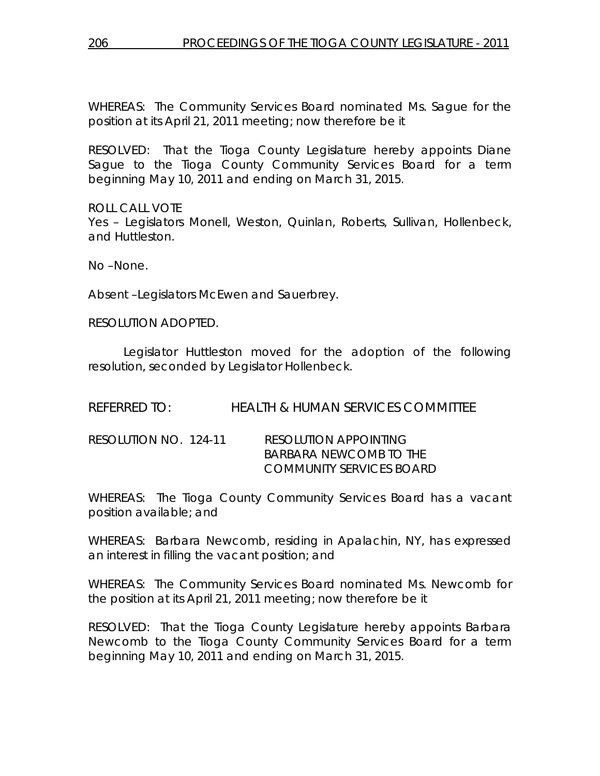WHEREAS: The Community Services Board nominated Ms. Sague for the position at its April 21, 2011 meeting; now therefore be it

RESOLVED: That the Tioga County Legislature hereby appoints Diane Sague to the Tioga County Community Services Board for a term beginning May 10, 2011 and ending on March 31, 2015.

ROLL CALL VOTE Yes – Legislators Monell, Weston, Quinlan, Roberts, Sullivan, Hollenbeck, and Huttleston.

No –None.

Absent –Legislators McEwen and Sauerbrey.

RESOLUTION ADOPTED.

 Legislator Huttleston moved for the adoption of the following resolution, seconded by Legislator Hollenbeck.

REFERRED TO: HEALTH & HUMAN SERVICES COMMITTEE

| RESOLUTION NO. 124-11 | <i>RESOLUTION APPOINTING</i> |
|-----------------------|------------------------------|
|                       | BARBARA NEWCOMB TO THE       |
|                       | COMMUNITY SERVICES BOARD     |

WHEREAS: The Tioga County Community Services Board has a vacant position available; and

WHEREAS: Barbara Newcomb, residing in Apalachin, NY, has expressed an interest in filling the vacant position; and

WHEREAS: The Community Services Board nominated Ms. Newcomb for the position at its April 21, 2011 meeting; now therefore be it

RESOLVED: That the Tioga County Legislature hereby appoints Barbara Newcomb to the Tioga County Community Services Board for a term beginning May 10, 2011 and ending on March 31, 2015.